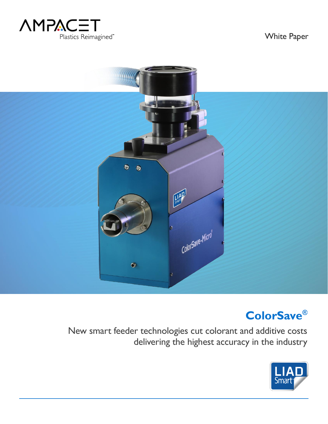

White Paper



# **ColorSave®**

New smart feeder technologies cut colorant and additive costs delivering the highest accuracy in the industry

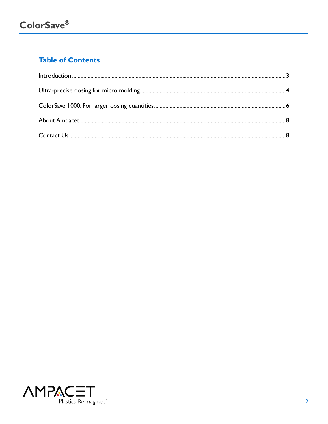## **Table of Contents**

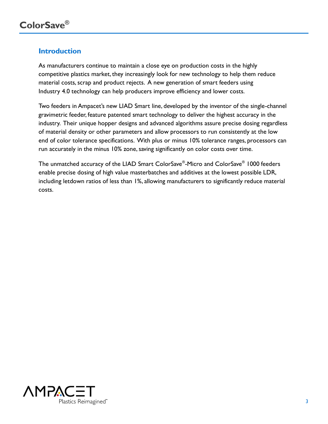#### <span id="page-2-0"></span>**Introduction**

As manufacturers continue to maintain a close eye on production costs in the highly competitive plastics market, they increasingly look for new technology to help them reduce material costs, scrap and product rejects. A new generation of smart feeders using Industry 4.0 technology can help producers improve efficiency and lower costs.

Two feeders in Ampacet's new LIAD Smart line, developed by the inventor of the single-channel gravimetric feeder, feature patented smart technology to deliver the highest accuracy in the industry. Their unique hopper designs and advanced algorithms assure precise dosing regardless of material density or other parameters and allow processors to run consistently at the low end of color tolerance specifications. With plus or minus 10% tolerance ranges, processors can run accurately in the minus 10% zone, saving significantly on color costs over time.

The unmatched accuracy of the LIAD Smart ColorSave® -Micro and ColorSave® 1000 feeders enable precise dosing of high value masterbatches and additives at the lowest possible LDR, including letdown ratios of less than 1%, allowing manufacturers to significantly reduce material costs.

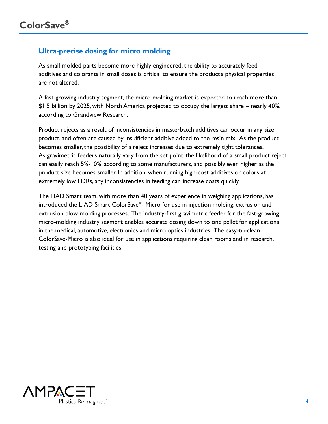### <span id="page-3-0"></span>**Ultra-precise dosing for micro molding**

As small molded parts become more highly engineered, the ability to accurately feed additives and colorants in small doses is critical to ensure the product's physical properties are not altered.

A fast-growing industry segment, the micro molding market is expected to reach more than \$1.5 billion by 2025, with North America projected to occupy the largest share – nearly 40%, according to Grandview Research.

Product rejects as a result of inconsistencies in masterbatch additives can occur in any size product, and often are caused by insufficient additive added to the resin mix. As the product becomes smaller, the possibility of a reject increases due to extremely tight tolerances. As gravimetric feeders naturally vary from the set point, the likelihood of a small product reject can easily reach 5%-10%, according to some manufacturers, and possibly even higher as the product size becomes smaller. In addition, when running high-cost additives or colors at extremely low LDRs, any inconsistencies in feeding can increase costs quickly.

The LIAD Smart team, with more than 40 years of experience in weighing applications, has introduced the LIAD Smart ColorSave® - Micro for use in injection molding, extrusion and extrusion blow molding processes. The industry-first gravimetric feeder for the fast-growing micro-molding industry segment enables accurate dosing down to one pellet for applications in the medical, automotive, electronics and micro optics industries. The easy-to-clean ColorSave-Micro is also ideal for use in applications requiring clean rooms and in research, testing and prototyping facilities.

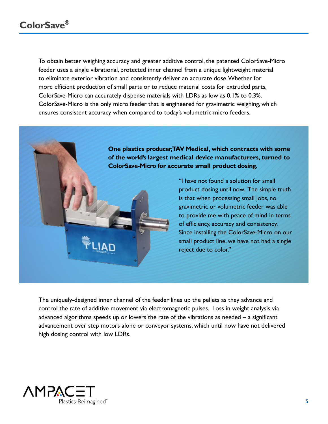To obtain better weighing accuracy and greater additive control, the patented ColorSave-Micro feeder uses a single vibrational, protected inner channel from a unique lightweight material to eliminate exterior vibration and consistently deliver an accurate dose. Whether for more efficient production of small parts or to reduce material costs for extruded parts, ColorSave-Micro can accurately dispense materials with LDRs as low as 0.1% to 0.3%. ColorSave-Micro is the only micro feeder that is engineered for gravimetric weighing, which ensures consistent accuracy when compared to today's volumetric micro feeders.

> **One plastics producer, TAV Medical, which contracts with some of the world's largest medical device manufacturers, turned to ColorSave-Micro for accurate small product dosing.**

> > "I have not found a solution for small product dosing until now. The simple truth is that when processing small jobs, no gravimetric or volumetric feeder was able to provide me with peace of mind in terms of efficiency, accuracy and consistency. Since installing the ColorSave-Micro on our small product line, we have not had a single reject due to color."

The uniquely-designed inner channel of the feeder lines up the pellets as they advance and control the rate of additive movement via electromagnetic pulses. Loss in weight analysis via advanced algorithms speeds up or lowers the rate of the vibrations as needed – a significant advancement over step motors alone or conveyor systems, which until now have not delivered high dosing control with low LDRs.

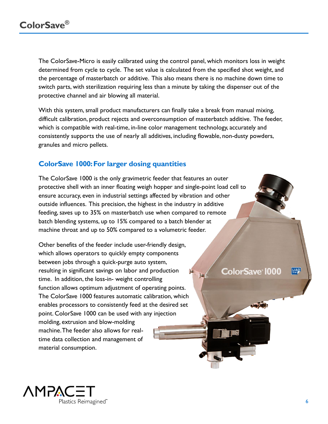The ColorSave-Micro is easily calibrated using the control panel, which monitors loss in weight determined from cycle to cycle. The set value is calculated from the specified shot weight, and the percentage of masterbatch or additive. This also means there is no machine down time to switch parts, with sterilization requiring less than a minute by taking the dispenser out of the protective channel and air blowing all material.

With this system, small product manufacturers can finally take a break from manual mixing, difficult calibration, product rejects and overconsumption of masterbatch additive. The feeder, which is compatible with real-time, in-line color management technology, accurately and consistently supports the use of nearly all additives, including flowable, non-dusty powders, granules and micro pellets.

### <span id="page-5-0"></span>**ColorSave 1000: For larger dosing quantities**

The ColorSave 1000 is the only gravimetric feeder that features an outer protective shell with an inner floating weigh hopper and single-point load cell to ensure accuracy, even in industrial settings affected by vibration and other outside influences. This precision, the highest in the industry in additive feeding, saves up to 35% on masterbatch use when compared to remote batch blending systems, up to 15% compared to a batch blender at machine throat and up to 50% compared to a volumetric feeder.

Other benefits of the feeder include user-friendly design, which allows operators to quickly empty components between jobs through a quick-purge auto system, resulting in significant savings on labor and production 庄 time. In addition, the loss-in- weight controlling function allows optimum adjustment of operating points. The ColorSave 1000 features automatic calibration, which enables processors to consistently feed at the desired set point. ColorSave 1000 can be used with any injection molding, extrusion and blow-molding machine. The feeder also allows for realtime data collection and management of material consumption.

**ColorSave 1000** 

 $\mathbf{H}$ 



 $LIAD$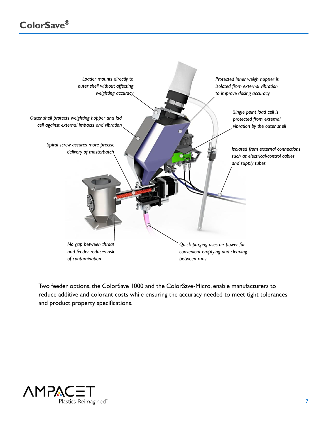

Two feeder options, the ColorSave 1000 and the ColorSave-Micro, enable manufacturers to reduce additive and colorant costs while ensuring the accuracy needed to meet tight tolerances and product property specifications.